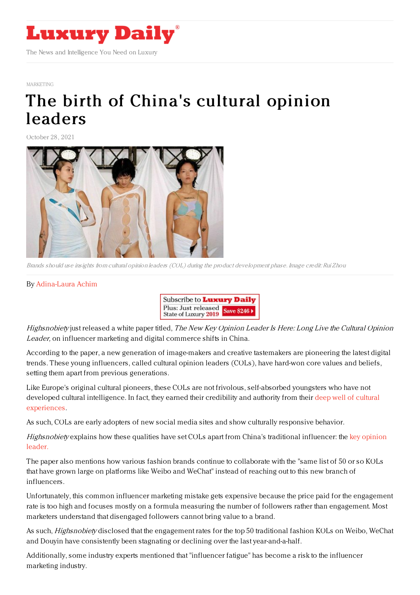

## [MARKETING](https://www.luxurydaily.com/category/sectors/marketing-industry-sectors/)

## The birth of China's [cultural](https://www.luxurydaily.com/the-birth-of-chinas-cultural-opinion-leaders/) opinion leaders

October 28, 2021



Brands should use insights from cultural opinion leaders (COL) during the product development phase. Image credit: Rui Zhou

## By [Adina-Laura](https://jingdaily.com/author/adina-laura/) Achim



Highsnobiety just released a white paper titled, The New Key Opinion Leader Is Here: Long Live the Cultural Opinion Leader, on influencer marketing and digital commerce shifts in China.

According to the paper, a new generation of image-makers and creative tastemakers are pioneering the latest digital trends. These young influencers, called cultural opinion leaders (COLs), have hard-won core values and beliefs, setting them apart from previous generations.

Like Europe's original cultural pioneers, these COLs are not frivolous, self-absorbed youngsters who have not developed cultural intelligence. In fact, they earned their credibility and authority from their deep well of cultural [experiences.](https://jingdaily.com/luxury-brands-gen-z-cultural-credibility/)

As such, COLs are early adopters of new social media sites and show culturally responsive behavior.

[Highsnobiety](https://jingdaily.com/influencers-china-kol-consumers-retail/) explains how these qualities have set COLs apart from China's traditional influencer: the key opinion leader.

The paper also mentions how various fashion brands continue to collaborate with the "same list of 50 or so KOLs that have grown large on platforms like Weibo and WeChat" instead of reaching out to this new branch of influencers.

Unfortunately, this common influencer marketing mistake gets expensive because the price paid for the engagement rate is too high and focuses mostly on a formula measuring the number of followers rather than engagement. Most marketers understand that disengaged followers cannot bring value to a brand.

As such, *Highsnobiety* disclosed that the engagement rates for the top 50 traditional fashion KOLs on Weibo, WeChat and Douyin have consistently been stagnating or declining over the last year-and-a-half.

Additionally, some industry experts mentioned that "influencer fatigue" has become a risk to the influencer marketing industry.